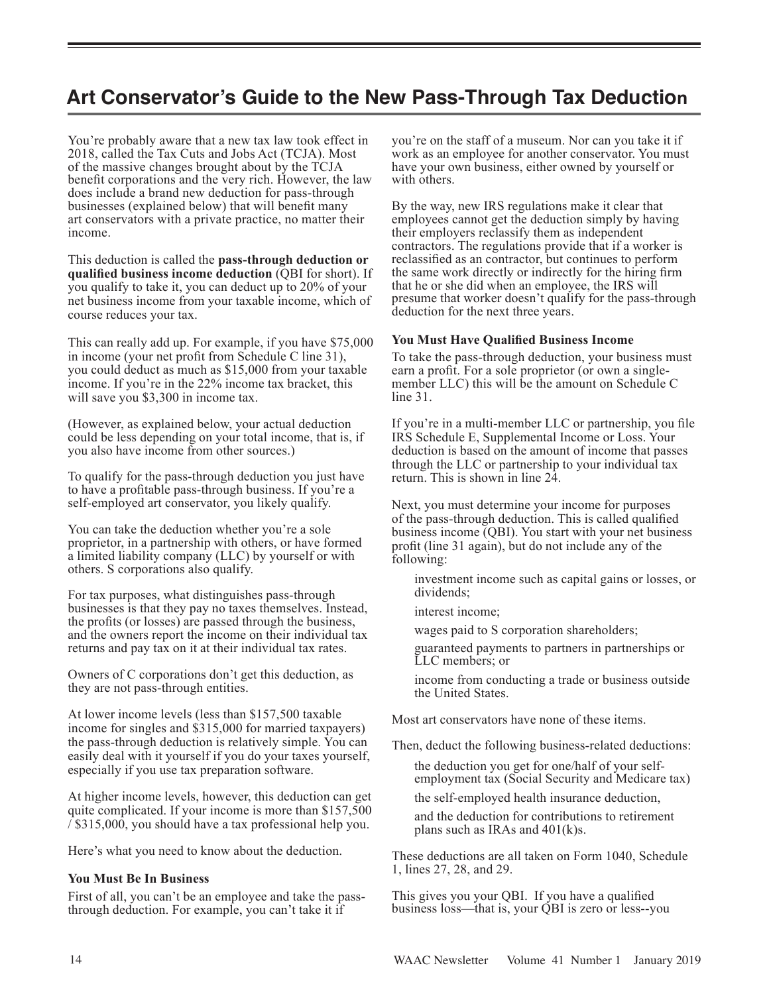# **Art Conservator's Guide to the New Pass-Through Tax Deduction**

You're probably aware that a new tax law took effect in 2018, called the Tax Cuts and Jobs Act (TCJA). Most of the massive changes brought about by the TCJA benefit corporations and the very rich. However, the law does include a brand new deduction for pass-through businesses (explained below) that will benefit many art conservators with a private practice, no matter their income.

This deduction is called the **pass-through deduction or qualified business income deduction** (QBI for short). If you qualify to take it, you can deduct up to 20% of your net business income from your taxable income, which of course reduces your tax.

This can really add up. For example, if you have \$75,000 in income (your net profit from Schedule C line 31), you could deduct as much as \$15,000 from your taxable income. If you're in the 22% income tax bracket, this will save you \$3,300 in income tax.

(However, as explained below, your actual deduction could be less depending on your total income, that is, if you also have income from other sources.)

To qualify for the pass-through deduction you just have to have a profitable pass-through business. If you're a self-employed art conservator, you likely qualify.

You can take the deduction whether you're a sole proprietor, in a partnership with others, or have formed a limited liability company (LLC) by yourself or with others. S corporations also qualify.

For tax purposes, what distinguishes pass-through businesses is that they pay no taxes themselves. Instead, the profits (or losses) are passed through the business, and the owners report the income on their individual tax returns and pay tax on it at their individual tax rates.

Owners of C corporations don't get this deduction, as they are not pass-through entities.

At lower income levels (less than \$157,500 taxable income for singles and \$315,000 for married taxpayers) the pass-through deduction is relatively simple. You can easily deal with it yourself if you do your taxes yourself, especially if you use tax preparation software.

At higher income levels, however, this deduction can get quite complicated. If your income is more than \$157,500 / \$315,000, you should have a tax professional help you.

Here's what you need to know about the deduction.

## **You Must Be In Business**

First of all, you can't be an employee and take the passthrough deduction. For example, you can't take it if

you're on the staff of a museum. Nor can you take it if work as an employee for another conservator. You must have your own business, either owned by yourself or with others.

By the way, new IRS regulations make it clear that employees cannot get the deduction simply by having their employers reclassify them as independent contractors. The regulations provide that if a worker is reclassified as an contractor, but continues to perform the same work directly or indirectly for the hiring firm that he or she did when an employee, the IRS will presume that worker doesn't qualify for the pass-through deduction for the next three years.

### **You Must Have Qualified Business Income**

To take the pass-through deduction, your business must earn a profit. For a sole proprietor (or own a singlemember LLC) this will be the amount on Schedule C line 31.

If you're in a multi-member LLC or partnership, you file IRS Schedule E, Supplemental Income or Loss. Your deduction is based on the amount of income that passes through the LLC or partnership to your individual tax return. This is shown in line 24.

Next, you must determine your income for purposes of the pass-through deduction. This is called qualified business income (QBI). You start with your net business profit (line 31 again), but do not include any of the following:

 investment income such as capital gains or losses, or dividends;

interest income;

wages paid to S corporation shareholders;

 guaranteed payments to partners in partnerships or LLC members; or

 income from conducting a trade or business outside the United States.

Most art conservators have none of these items.

Then, deduct the following business-related deductions:

 the deduction you get for one/half of your self employment tax (Social Security and Medicare tax)

the self-employed health insurance deduction,

 and the deduction for contributions to retirement plans such as IRAs and 401(k)s.

These deductions are all taken on Form 1040, Schedule 1, lines 27, 28, and 29.

This gives you your QBI. If you have a qualified business loss—that is, your QBI is zero or less--you